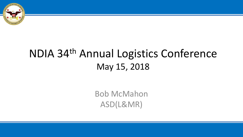

# NDIA 34th Annual Logistics Conference May 15, 2018

Bob McMahon ASD(L&MR)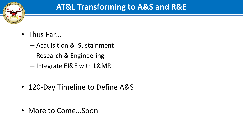

#### **AT&L Transforming to A&S and R&E**

- Thus Far…
	- Acquisition & Sustainment
	- Research & Engineering
	- Integrate EI&E with L&MR
- 120-Day Timeline to Define A&S

• More to Come…Soon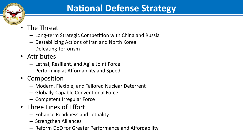

## **National Defense Strategy**

- The Threat
	- Long-term Strategic Competition with China and Russia
	- Destabilizing Actions of Iran and North Korea
	- Defeating Terrorism
- Attributes
	- Lethal, Resilient, and Agile Joint Force
	- Performing at Affordability and Speed
- Composition
	- Modern, Flexible, and Tailored Nuclear Deterrent
	- Globally-Capable Conventional Force
	- Competent Irregular Force
- Three Lines of Effort
	- Enhance Readiness and Lethality
	- Strengthen Alliances
	- Reform DoD for Greater Performance and Affordability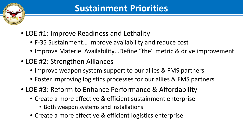

- LOE #1: Improve Readiness and Lethality
	- F-35 Sustainment… Improve availability and reduce cost
	- Improve Materiel Availability…Define "the" metric & drive improvement
- LOE #2: Strengthen Alliances
	- Improve weapon system support to our allies & FMS partners
	- Foster improving logistics processes for our allies & FMS partners
- LOE #3: Reform to Enhance Performance & Affordability
	- Create a more effective & efficient sustainment enterprise
		- Both weapon systems and installations
	- Create a more effective & efficient logistics enterprise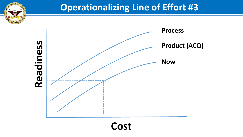#### **Operationalizing Line of Effort #3**



**Cost**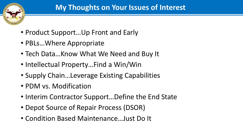

- Product Support…Up Front and Early
- PBLs…Where Appropriate
- Tech Data…Know What We Need and Buy It
- Intellectual Property…Find a Win/Win
- Supply Chain…Leverage Existing Capabilities
- PDM vs. Modification
- Interim Contractor Support…Define the End State
- Depot Source of Repair Process (DSOR)
- Condition Based Maintenance…Just Do It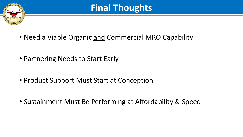

## **Final Thoughts**

- Need a Viable Organic and Commercial MRO Capability
- Partnering Needs to Start Early
- Product Support Must Start at Conception
- Sustainment Must Be Performing at Affordability & Speed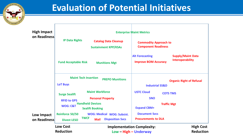

### **Evaluation of Potential Initiatives**

| <b>High Impact</b><br>on Readiness<br>Low Impact<br>on Readiness | <b>Enterprise Maint Metrics</b>                                                             |                                                                                                                                              |                                                                               |                                                     |
|------------------------------------------------------------------|---------------------------------------------------------------------------------------------|----------------------------------------------------------------------------------------------------------------------------------------------|-------------------------------------------------------------------------------|-----------------------------------------------------|
|                                                                  | <b>IP Data Rights</b>                                                                       | <b>Catalog Data Cleanup</b><br><b>Sustainment KPP/KSAs</b>                                                                                   | <b>Commodity Approach to</b><br><b>Component Readiness</b>                    |                                                     |
|                                                                  | <b>Fund Acceptable Risk</b>                                                                 | <b>Munitions Mgt</b>                                                                                                                         | <b>Alt Forecasting</b><br><b>Improve BOM Accuracy</b>                         | <b>Supply/Maint Data</b><br><b>Interoperability</b> |
|                                                                  | <b>Maint Tech Insertion</b><br><b>LoT Buys</b>                                              | <b>PREPO Munitions</b>                                                                                                                       | <b>Industrial SS&amp;D</b>                                                    | <b>Organic Right of Refusal</b>                     |
|                                                                  | <b>Surge Sealift</b><br><b>RFID to GPS</b><br><b>WOG: C&amp;T</b><br><b>Reinforce 50/50</b> | <b>Maint Workforce</b><br><b>Personal Property</b><br><b>Handheld Devices</b><br><b>Sealift Booking</b><br><b>WOG: Medical WOG: Subsist.</b> | <b>USTC Cloud</b><br><b>SNO</b><br><b>Expand CBM+</b><br><b>Document Svcs</b> | <b>COTS TMS</b><br><b>Traffic Mgt</b>               |
|                                                                  | <b>Divest LESO</b>                                                                          | <b>TWCF</b><br><b>Disposition Svcs</b><br><b>Mail</b>                                                                                        | <b>Procurements to DLA</b>                                                    |                                                     |
|                                                                  | <b>Low Cost</b><br><b>Reduction</b>                                                         | <b>Implementation Complexity:</b><br>Low – High – Underway                                                                                   |                                                                               | <b>High Cost</b><br><b>Reduction</b>                |